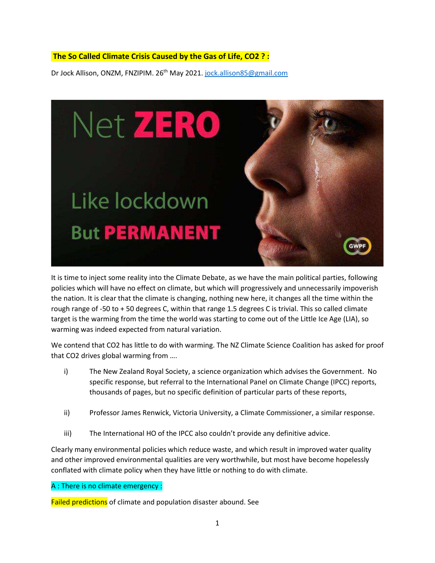## **The So Called Climate Crisis Caused by the Gas of Life, CO2 ? :**

Dr Jock Allison, ONZM, FNZIPIM. 26<sup>th</sup> May 2021. [jock.allison85@gmail.com](mailto:jock.allison85@gmail.com)



It is time to inject some reality into the Climate Debate, as we have the main political parties, following policies which will have no effect on climate, but which will progressively and unnecessarily impoverish the nation. It is clear that the climate is changing, nothing new here, it changes all the time within the rough range of -50 to + 50 degrees C, within that range 1.5 degrees C is trivial. This so called climate target is the warming from the time the world was starting to come out of the Little Ice Age (LIA), so warming was indeed expected from natural variation.

We contend that CO2 has little to do with warming. The NZ Climate Science Coalition has asked for proof that CO2 drives global warming from ….

- i) The New Zealand Royal Society, a science organization which advises the Government. No specific response, but referral to the International Panel on Climate Change (IPCC) reports, thousands of pages, but no specific definition of particular parts of these reports,
- ii) Professor James Renwick, Victoria University, a Climate Commissioner, a similar response.
- iii) The International HO of the IPCC also couldn't provide any definitive advice.

Clearly many environmental policies which reduce waste, and which result in improved water quality and other improved environmental qualities are very worthwhile, but most have become hopelessly conflated with climate policy when they have little or nothing to do with climate.

A : There is no climate emergency :

Failed predictions of climate and population disaster abound. See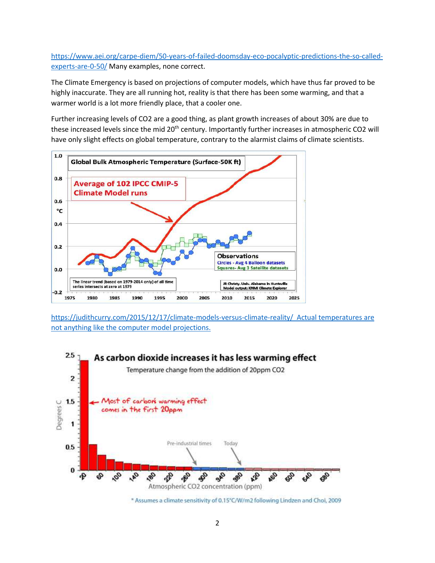[https://www.aei.org/carpe-diem/50-years-of-failed-doomsday-eco-pocalyptic-predictions-the-so-called](https://www.aei.org/carpe-diem/50-years-of-failed-doomsday-eco-pocalyptic-predictions-the-so-called-experts-are-0-50/)[experts-are-0-50/](https://www.aei.org/carpe-diem/50-years-of-failed-doomsday-eco-pocalyptic-predictions-the-so-called-experts-are-0-50/) Many examples, none correct.

The Climate Emergency is based on projections of computer models, which have thus far proved to be highly inaccurate. They are all running hot, reality is that there has been some warming, and that a warmer world is a lot more friendly place, that a cooler one.

Further increasing levels of CO2 are a good thing, as plant growth increases of about 30% are due to these increased levels since the mid 20<sup>th</sup> century. Importantly further increases in atmospheric CO2 will have only slight effects on global temperature, contrary to the alarmist claims of climate scientists.



<https://judithcurry.com/2015/12/17/climate-models-versus-climate-reality/> Actual temperatures are not anything like the computer model projections.



<sup>\*</sup> Assumes a climate sensitivity of 0.15°C/W/m2 following Lindzen and Choi, 2009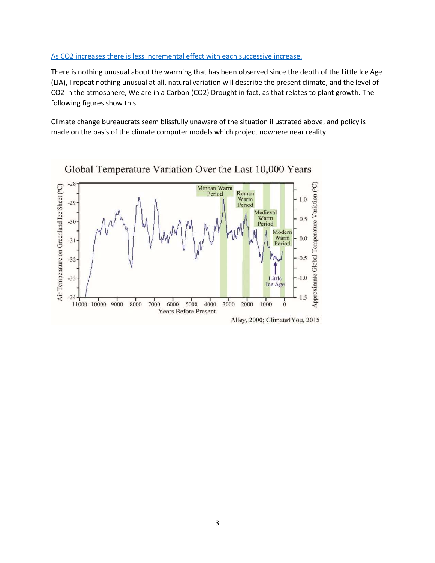## As CO2 increases there is less incremental effect with each successive increase.

There is nothing unusual about the warming that has been observed since the depth of the Little Ice Age (LIA), I repeat nothing unusual at all, natural variation will describe the present climate, and the level of CO2 in the atmosphere, We are in a Carbon (CO2) Drought in fact, as that relates to plant growth. The following figures show this.

Climate change bureaucrats seem blissfully unaware of the situation illustrated above, and policy is made on the basis of the climate computer models which project nowhere near reality.



Global Temperature Variation Over the Last 10,000 Years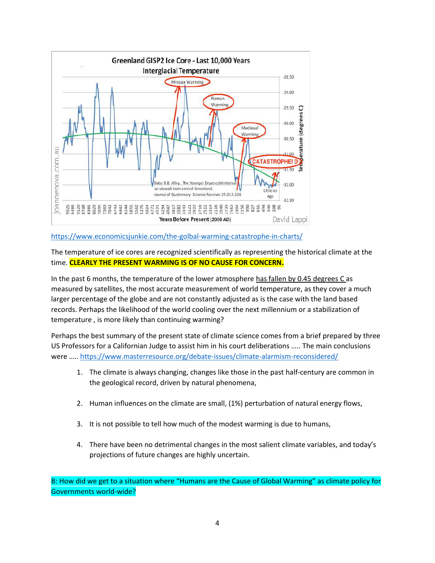

<https://www.economicsjunkie.com/the-golbal-warming-catastrophe-in-charts/>

The temperature of ice cores are recognized scientifically as representing the historical climate at the time. **CLEARLY THE PRESENT WARMING IS OF NO CAUSE FOR CONCERN.**

In the past 6 months, the temperature of the lower atmosphere has fallen by 0.45 degrees C as measured by satellites, the most accurate measurement of world temperature, as they cover a much larger percentage of the globe and are not constantly adjusted as is the case with the land based records. Perhaps the likelihood of the world cooling over the next millennium or a stabilization of temperature , is more likely than continuing warming?

Perhaps the best summary of the present state of climate science comes from a brief prepared by three US Professors for a Californian Judge to assist him in his court deliberations ….. The main conclusions were ….. <https://www.masterresource.org/debate-issues/climate-alarmism-reconsidered/>

- 1. The climate is always changing, changes like those in the past half-century are common in the geological record, driven by natural phenomena,
- 2. Human influences on the climate are small, (1%) perturbation of natural energy flows,
- 3. It is not possible to tell how much of the modest warming is due to humans,
- 4. There have been no detrimental changes in the most salient climate variables, and today's projections of future changes are highly uncertain.

B: How did we get to a situation where "Humans are the Cause of Global Warming" as climate policy for Governments world-wide?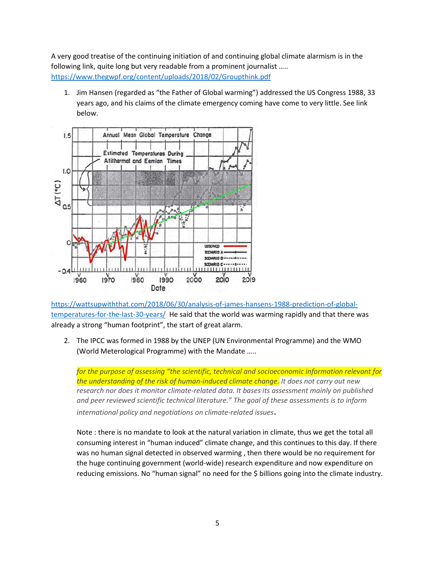A very good treatise of the continuing initiation of and continuing global climate alarmism is in the following link, quite long but very readable from a prominent journalist ….. <https://www.thegwpf.org/content/uploads/2018/02/Groupthink.pdf>

1. Jim Hansen (regarded as "the Father of Global warming") addressed the US Congress 1988, 33 years ago, and his claims of the climate emergency coming have come to very little. See link below.



[https://wattsupwiththat.com/2018/06/30/analysis-of-james-hansens-1988-prediction-of-global](https://wattsupwiththat.com/2018/06/30/analysis-of-james-hansens-1988-prediction-of-global-temperatures-for-the-last-30-years/)[temperatures-for-the-last-30-years/](https://wattsupwiththat.com/2018/06/30/analysis-of-james-hansens-1988-prediction-of-global-temperatures-for-the-last-30-years/) He said that the world was warming rapidly and that there was already a strong "human footprint", the start of great alarm.

2. The IPCC was formed in 1988 by the UNEP (UN Environmental Programme) and the WMO (World Meterological Programme) with the Mandate …..

*for the purpose of assessing "the scientific, technical and socioeconomic information relevant for the understanding of the risk of human-induced climate change. It does not carry out new research nor does it monitor climate-related data. It bases its assessment mainly on published and peer reviewed scientific technical literature." The goal of these assessments is to inform international policy and negotiations on climate-related issues*.

Note : there is no mandate to look at the natural variation in climate, thus we get the total all consuming interest in "human induced" climate change, and this continues to this day. If there was no human signal detected in observed warming , then there would be no requirement for the huge continuing government (world-wide) research expenditure and now expenditure on reducing emissions. No "human signal" no need for the \$ billions going into the climate industry.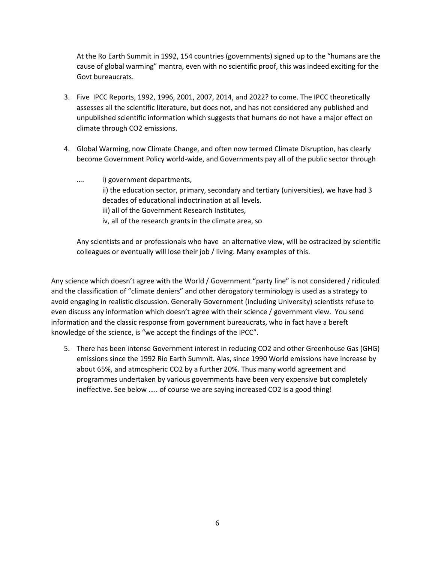At the Ro Earth Summit in 1992, 154 countries (governments) signed up to the "humans are the cause of global warming" mantra, even with no scientific proof, this was indeed exciting for the Govt bureaucrats.

- 3. Five IPCC Reports, 1992, 1996, 2001, 2007, 2014, and 2022? to come. The IPCC theoretically assesses all the scientific literature, but does not, and has not considered any published and unpublished scientific information which suggests that humans do not have a major effect on climate through CO2 emissions.
- 4. Global Warming, now Climate Change, and often now termed Climate Disruption, has clearly become Government Policy world-wide, and Governments pay all of the public sector through
	- …. i) government departments, ii) the education sector, primary, secondary and tertiary (universities), we have had 3 decades of educational indoctrination at all levels. iii) all of the Government Research Institutes, iv, all of the research grants in the climate area, so

Any scientists and or professionals who have an alternative view, will be ostracized by scientific colleagues or eventually will lose their job / living. Many examples of this.

Any science which doesn't agree with the World / Government "party line" is not considered / ridiculed and the classification of "climate deniers" and other derogatory terminology is used as a strategy to avoid engaging in realistic discussion. Generally Government (including University) scientists refuse to even discuss any information which doesn't agree with their science / government view. You send information and the classic response from government bureaucrats, who in fact have a bereft knowledge of the science, is "we accept the findings of the IPCC".

5. There has been intense Government interest in reducing CO2 and other Greenhouse Gas (GHG) emissions since the 1992 Rio Earth Summit. Alas, since 1990 World emissions have increase by about 65%, and atmospheric CO2 by a further 20%. Thus many world agreement and programmes undertaken by various governments have been very expensive but completely ineffective. See below ….. of course we are saying increased CO2 is a good thing!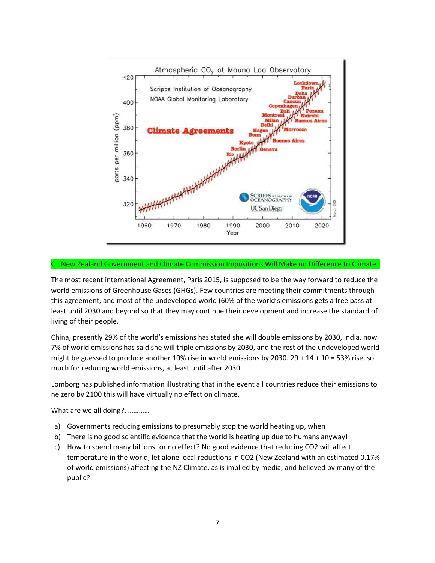

## C : New Zealand Government and Climate Commission Impositions Will Make no Difference to Climate :

The most recent international Agreement, Paris 2015, is supposed to be the way forward to reduce the world emissions of Greenhouse Gases (GHGs). Few countries are meeting their commitments through this agreement, and most of the undeveloped world (60% of the world's emissions gets a free pass at least until 2030 and beyond so that they may continue their development and increase the standard of living of their people.

China, presently 29% of the world's emissions has stated she will double emissions by 2030, India, now 7% of world emissions has said she will triple emissions by 2030, and the rest of the undeveloped world might be guessed to produce another 10% rise in world emissions by 2030. 29 + 14 + 10 = 53% rise, so much for reducing world emissions, at least until after 2030.

Lomborg has published information illustrating that in the event all countries reduce their emissions to ne zero by 2100 this will have virtually no effect on climate.

What are we all doing?, …………

- a) Governments reducing emissions to presumably stop the world heating up, when
- b) There is no good scientific evidence that the world is heating up due to humans anyway!
- c) How to spend many billions for no effect? No good evidence that reducing CO2 will affect temperature in the world, let alone local reductions in CO2 (New Zealand with an estimated 0.17% of world emissions) affecting the NZ Climate, as is implied by media, and believed by many of the public?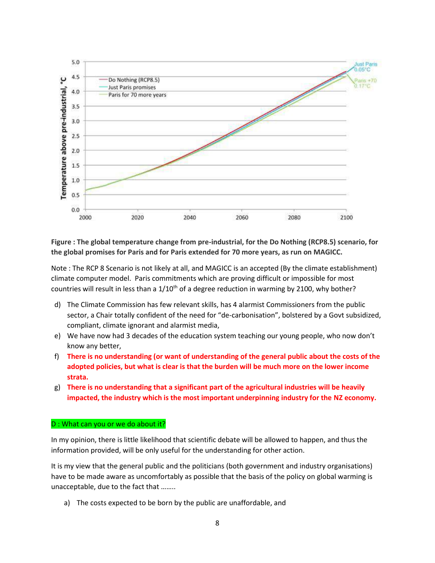

**Figure : The global temperature change from pre-industrial, for the Do Nothing (RCP8.5) scenario, for the global promises for Paris and for Paris extended for 70 more years, as run on MAGICC.**

Note : The RCP 8 Scenario is not likely at all, and MAGICC is an accepted (By the climate establishment) climate computer model. Paris commitments which are proving difficult or impossible for most countries will result in less than a 1/10<sup>th</sup> of a degree reduction in warming by 2100, why bother?

- d) The Climate Commission has few relevant skills, has 4 alarmist Commissioners from the public sector, a Chair totally confident of the need for "de-carbonisation", bolstered by a Govt subsidized, compliant, climate ignorant and alarmist media,
- e) We have now had 3 decades of the education system teaching our young people, who now don't know any better,
- f) **There is no understanding (or want of understanding of the general public about the costs of the adopted policies, but what is clear is that the burden will be much more on the lower income strata.**
- g) **There is no understanding that a significant part of the agricultural industries will be heavily impacted, the industry which is the most important underpinning industry for the NZ economy.**

## D : What can you or we do about it?

In my opinion, there is little likelihood that scientific debate will be allowed to happen, and thus the information provided, will be only useful for the understanding for other action.

It is my view that the general public and the politicians (both government and industry organisations) have to be made aware as uncomfortably as possible that the basis of the policy on global warming is unacceptable, due to the fact that ……..

a) The costs expected to be born by the public are unaffordable, and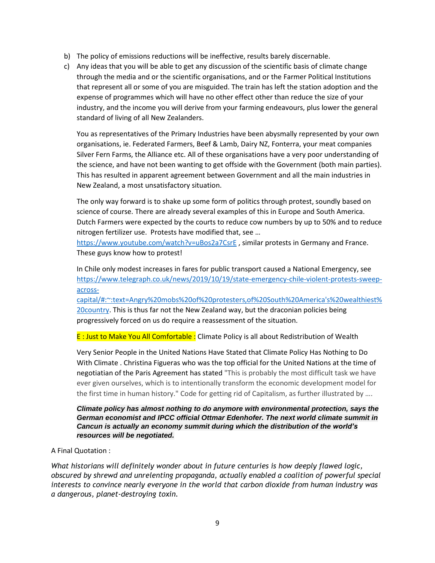- b) The policy of emissions reductions will be ineffective, results barely discernable.
- c) Any ideas that you will be able to get any discussion of the scientific basis of climate change through the media and or the scientific organisations, and or the Farmer Political Institutions that represent all or some of you are misguided. The train has left the station adoption and the expense of programmes which will have no other effect other than reduce the size of your industry, and the income you will derive from your farming endeavours, plus lower the general standard of living of all New Zealanders.

You as representatives of the Primary Industries have been abysmally represented by your own organisations, ie. Federated Farmers, Beef & Lamb, Dairy NZ, Fonterra, your meat companies Silver Fern Farms, the Alliance etc. All of these organisations have a very poor understanding of the science, and have not been wanting to get offside with the Government (both main parties). This has resulted in apparent agreement between Government and all the main industries in New Zealand, a most unsatisfactory situation.

The only way forward is to shake up some form of politics through protest, soundly based on science of course. There are already several examples of this in Europe and South America. Dutch Farmers were expected by the courts to reduce cow numbers by up to 50% and to reduce nitrogen fertilizer use. Protests have modified that, see …

<https://www.youtube.com/watch?v=uBos2a7CsrE> , similar protests in Germany and France. These guys know how to protest!

In Chile only modest increases in fares for public transport caused a National Emergency, see [https://www.telegraph.co.uk/news/2019/10/19/state-emergency-chile-violent-protests-sweep](https://www.telegraph.co.uk/news/2019/10/19/state-emergency-chile-violent-protests-sweep-across-capital/#:~:text=Angry%20mobs%20of%20protesters,of%20South%20America)[across-](https://www.telegraph.co.uk/news/2019/10/19/state-emergency-chile-violent-protests-sweep-across-capital/#:~:text=Angry%20mobs%20of%20protesters,of%20South%20America)

[capital/#:~:text=Angry%20mobs%20of%20protesters,of%20South%20America's%20wealthiest%](https://www.telegraph.co.uk/news/2019/10/19/state-emergency-chile-violent-protests-sweep-across-capital/#:~:text=Angry%20mobs%20of%20protesters,of%20South%20America) [20country.](https://www.telegraph.co.uk/news/2019/10/19/state-emergency-chile-violent-protests-sweep-across-capital/#:~:text=Angry%20mobs%20of%20protesters,of%20South%20America) This is thus far not the New Zealand way, but the draconian policies being progressively forced on us do require a reassessment of the situation.

E : Just to Make You All Comfortable : Climate Policy is all about Redistribution of Wealth

Very Senior People in the United Nations Have Stated that Climate Policy Has Nothing to Do With Climate . Christina Figueras who was the top official for the United Nations at the time of negotiatian of the Paris Agreement has stated "This is probably the most difficult task we have ever given ourselves, which is to intentionally transform the economic development model for the first time in human history." Code for getting rid of Capitalism, as further illustrated by ….

*Climate policy has almost nothing to do anymore with environmental protection, says the German economist and IPCC official Ottmar Edenhofer. The next world climate summit in Cancun is actually an economy summit during which the distribution of the world's resources will be negotiated.*

A Final Quotation :

*What historians will definitely wonder about in future centuries is how deeply flawed logic, obscured by shrewd and unrelenting propaganda, actually enabled a coalition of powerful special interests to convince nearly everyone in the world that carbon dioxide from human industry was a dangerous, planet-destroying toxin.*